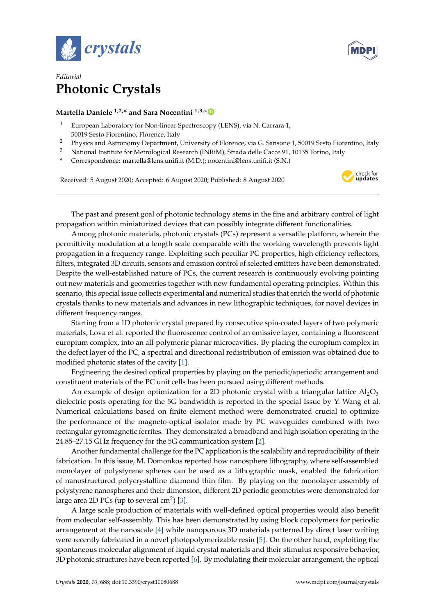



## *Editorial* **Photonic Crystals**

## **Martella Daniele 1,2,\* and Sara Nocentini 1,3,[\\*](https://orcid.org/0000-0003-2392-9077)**

- <sup>1</sup> European Laboratory for Non-linear Spectroscopy (LENS), via N. Carrara 1, 50019 Sesto Fiorentino, Florence, Italy
- <sup>2</sup> Physics and Astronomy Department, University of Florence, via G. Sansone 1, 50019 Sesto Fiorentino, Italy
- <sup>3</sup> National Institute for Metrological Research (INRiM), Strada delle Cacce 91, 10135 Torino, Italy
- **\*** Correspondence: martella@lens.unifi.it (M.D.); nocentini@lens.unifi.it (S.N.)

Received: 5 August 2020; Accepted: 6 August 2020; Published: 8 August 2020



The past and present goal of photonic technology stems in the fine and arbitrary control of light propagation within miniaturized devices that can possibly integrate different functionalities.

Among photonic materials, photonic crystals (PCs) represent a versatile platform, wherein the permittivity modulation at a length scale comparable with the working wavelength prevents light propagation in a frequency range. Exploiting such peculiar PC properties, high efficiency reflectors, filters, integrated 3D circuits, sensors and emission control of selected emitters have been demonstrated. Despite the well-established nature of PCs, the current research is continuously evolving pointing out new materials and geometries together with new fundamental operating principles. Within this scenario, this special issue collects experimental and numerical studies that enrich the world of photonic crystals thanks to new materials and advances in new lithographic techniques, for novel devices in different frequency ranges.

Starting from a 1D photonic crystal prepared by consecutive spin-coated layers of two polymeric materials, Lova et al. reported the fluorescence control of an emissive layer, containing a fluorescent europium complex, into an all-polymeric planar microcavities. By placing the europium complex in the defect layer of the PC, a spectral and directional redistribution of emission was obtained due to modified photonic states of the cavity [\[1\]](#page-1-0).

Engineering the desired optical properties by playing on the periodic/aperiodic arrangement and constituent materials of the PC unit cells has been pursued using different methods.

An example of design optimization for a 2D photonic crystal with a triangular lattice  $\text{Al}_2\text{O}_3$ dielectric posts operating for the 5G bandwidth is reported in the special Issue by Y. Wang et al. Numerical calculations based on finite element method were demonstrated crucial to optimize the performance of the magneto-optical isolator made by PC waveguides combined with two rectangular gyromagnetic ferrites. They demonstrated a broadband and high isolation operating in the 24.85–27.15 GHz frequency for the 5G communication system [\[2\]](#page-1-1).

Another fundamental challenge for the PC application is the scalability and reproducibility of their fabrication. In this issue, M. Domonkos reported how nanosphere lithography, where self-assembled monolayer of polystyrene spheres can be used as a lithographic mask, enabled the fabrication of nanostructured polycrystalline diamond thin film. By playing on the monolayer assembly of polystyrene nanospheres and their dimension, different 2D periodic geometries were demonstrated for large area 2D PCs (up to several cm<sup>2</sup>) [\[3\]](#page-1-2).

A large scale production of materials with well-defined optical properties would also benefit from molecular self-assembly. This has been demonstrated by using block copolymers for periodic arrangement at the nanoscale [\[4\]](#page-1-3) while nanoporous 3D materials patterned by direct laser writing were recently fabricated in a novel photopolymerizable resin [\[5\]](#page-1-4). On the other hand, exploiting the spontaneous molecular alignment of liquid crystal materials and their stimulus responsive behavior, 3D photonic structures have been reported [\[6\]](#page-1-5). By modulating their molecular arrangement, the optical